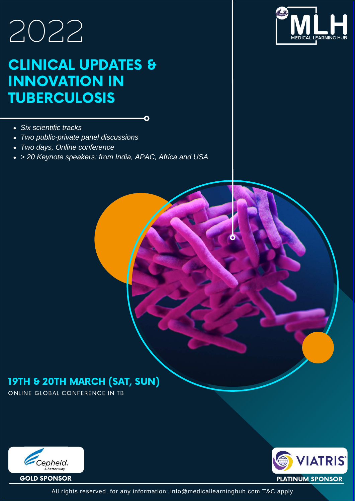## [2022](https://bit.ly/3tordQz)

## CLINICAL UPDATES & INNOVATION IN **TUBERCULOSIS**

- *Six scientific tracks*
- *Two public-private panel discussions*
- *Two days, Online conference*
- *> 20 Keynote speakers: from India, APAC, Africa and USA*

O



## 19TH & 20TH MARCH (SAT, SUN)

ONLINE GLOBAL CONFERENCE IN TB





All rights reserved, for any information: info@medicallearninghub.com T&C apply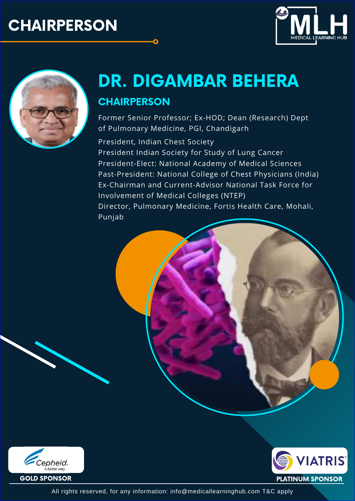## **[CHAIRPERSON](https://bit.ly/3tordQz)**





## DR. DIGAMBAR BEHERA **CHAIRPERSON**

Former Senior Professor; Ex-HOD; Dean (Research) Dept of Pulmonary Medicine, PGI, Chandigarh

President, Indian Chest Society President Indian Society for Study of Lung Cancer President-Elect: National Academy of Medical Sciences Past-President: National College of Chest Physicians (India) Ex-Chairman and Current-Advisor National Task Force for Involvement of Medical Colleges (NTEP) Director, Pulmonary Medicine, Fortis Health Care, Mohali, Punjab



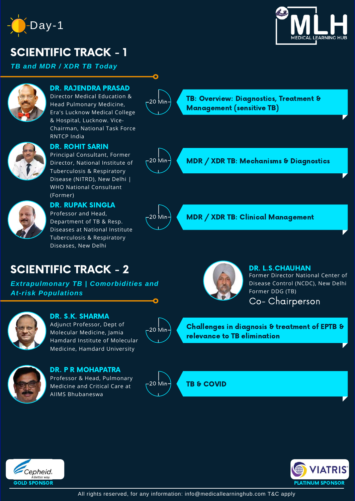

## [SCIENTIFIC](https://bit.ly/3tordQz) TRACK - 1

*TB and MDR / XDR TB Today*



#### Director Medical Education & DR. RAJENDRA PRASAD

Head Pulmonary Medicine, Era's Lucknow Medical College & Hospital, Lucknow. Vice-Chairman, National Task Force RNTCP India



#### DR. ROHIT SARIN

Principal Consultant, Former Director, National Institute of Tuberculosis & Respiratory Disease (NITRD), New Delhi | WHO National Consultant (Former)



#### DR. RUPAK SINGLA

Professor and Head, Department of TB & Resp. Diseases at National Institute Tuberculosis & Respiratory Diseases, New Delhi

## SCIENTIFIC TRACK - 2

*Extrapulmonary TB | Comorbidities and At-risk Populations*



Adjunct Professor, Dept of Molecular Medicine, Jamia Hamdard Institute of Molecular Medicine, Hamdard University DR. S.K. SHARMA



#### Professor & Head, Pulmonary Medicine and Critical Care at AIIMS Bhubaneswa DR. P R MOHAPATRA



20 Min

20 Min

20 Min

20 Min

Ō







TB: Overview: Diagnostics, Treatment & Management (sensitive TB)

MDR / XDR TB: Mechanisms & Diagnostics

MDR / XDR TB: Clinical Management



DR. L.S.CHAUHAN Former Director National Center of Disease Control (NCDC), New Delhi Former DDG (TB) Co- Chairperson

Challenges in diagnosis & treatment of EPTB & relevance to TB elimination



All rights reserved, for any information: info@medicallearninghub.com T&C apply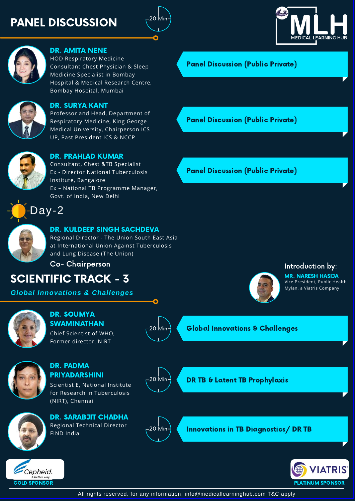## PANEL [DISCUSSION](https://bit.ly/3tordQz)







#### DR. AMITA NENE

HOD Respiratory Medicine Consultant Chest Physician & Sleep Medicine Specialist in Bombay Hospital & Medical Research Centre, Bombay Hospital, Mumbai



#### DR. SURYA KANT

Professor and Head, Department of Respiratory Medicine, King George Medical University, Chairperson ICS UP, Past President ICS & NCCP



#### DR. PRAHLAD KUMAR

Consultant, Chest &TB Specialist Ex - Director National Tuberculosis Institute, Bangalore Ex – National TB Programme Manager, Govt. of India, New Delhi





#### DR. KULDEEP SINGH SACHDEVA

Regional Director - The Union South East Asia at International Union Against Tuberculosis and Lung Disease (The Union)

Co- Chairperson

## SCIENTIFIC TRACK - 3

*Global Innovations & Challenges*



#### Chief Scientist of WHO, DR. SOUMYA SWAMINATHAN

Former director, NIRT



`epheid.

#### DR. PADMA PRIYADARSHINI

Scientist E, National Institute for Research in Tuberculosis (NIRT), Chennai

Regional Technical Director FIND India DR. SARABJIT CHADHA



20 Min

 $\bullet$ 

20 Min

DR TB & Latent TB Prophylaxis





All rights reserved, for any information: info@medicallearninghub.com T&C apply

#### Panel Discussion (Public Private)

Panel Discussion (Public Private)

#### Panel Discussion (Public Private)

Introduction by:

MR. NARESH HASIJA Vice President, Public Health Mylan, a Viatris Company

Global Innovations & Challenges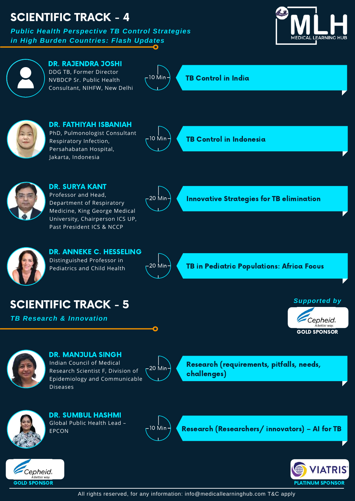## SCIENTIFIC TRACK - 4

*Public Health Perspective TB Control Strategies in High Burden Countries: Flash Updates*



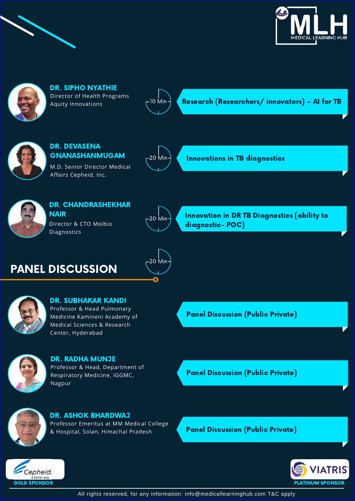







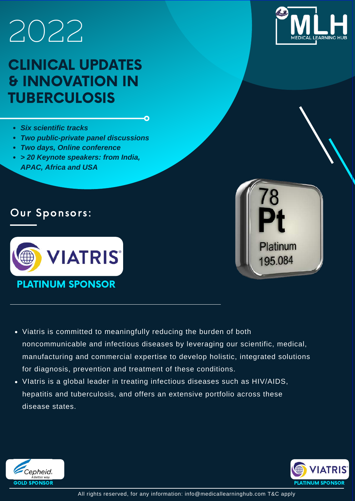# [2022](https://bit.ly/3tordQz)

## CLINICAL UPDATES & INNOVATION IN **TUBERCULOSIS**

- *Six scientific tracks*
- *Two public-private panel discussions*
- *Two days, Online conference*
- *> 20 Keynote speakers: from India, APAC, Africa and USA*

## Our Sponsors:







- Viatris is committed to meaningfully reducing the burden of both noncommunicable and infectious diseases by leveraging our scientific, medical, manufacturing and commercial expertise to develop holistic, integrated solutions for diagnosis, prevention and treatment of these conditions.
- VIatris is a global leader in treating infectious diseases such as HIV/AIDS, hepatitis and tuberculosis, and offers an extensive portfolio across these disease states.



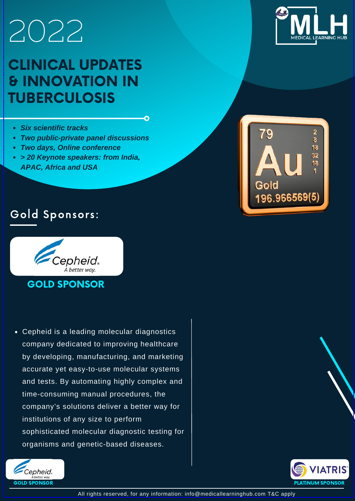# [2022](https://bit.ly/3tordQz)

## CLINICAL UPDATES & INNOVATION IN **TUBERCULOSIS**

- *Six scientific tracks*
- *Two public-private panel discussions*
- *Two days, Online conference*
- *> 20 Keynote speakers: from India, APAC, Africa and USA*

## Gold Sponsors:



Cepheid is a leading molecular diagnostics company dedicated to improving healthcare by developing, manufacturing, and marketing accurate yet easy-to-use molecular systems and tests. By automating highly complex and time-consuming manual procedures, the company's solutions deliver a better way for institutions of any size to perform sophisticated molecular diagnostic testing for organisms and genetic-based diseases.